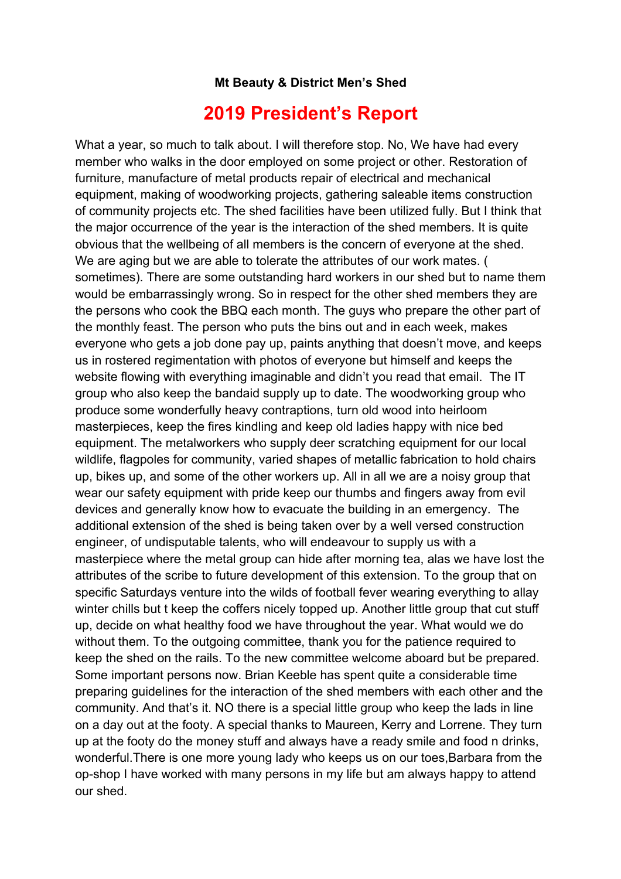## **Mt Beauty & District Men's Shed**

## **2019 President's Report**

What a year, so much to talk about. I will therefore stop. No, We have had every member who walks in the door employed on some project or other. Restoration of furniture, manufacture of metal products repair of electrical and mechanical equipment, making of woodworking projects, gathering saleable items construction of community projects etc. The shed facilities have been utilized fully. But I think that the major occurrence of the year is the interaction of the shed members. It is quite obvious that the wellbeing of all members is the concern of everyone at the shed. We are aging but we are able to tolerate the attributes of our work mates. ( sometimes). There are some outstanding hard workers in our shed but to name them would be embarrassingly wrong. So in respect for the other shed members they are the persons who cook the BBQ each month. The guys who prepare the other part of the monthly feast. The person who puts the bins out and in each week, makes everyone who gets a job done pay up, paints anything that doesn't move, and keeps us in rostered regimentation with photos of everyone but himself and keeps the website flowing with everything imaginable and didn't you read that email. The IT group who also keep the bandaid supply up to date. The woodworking group who produce some wonderfully heavy contraptions, turn old wood into heirloom masterpieces, keep the fires kindling and keep old ladies happy with nice bed equipment. The metalworkers who supply deer scratching equipment for our local wildlife, flagpoles for community, varied shapes of metallic fabrication to hold chairs up, bikes up, and some of the other workers up. All in all we are a noisy group that wear our safety equipment with pride keep our thumbs and fingers away from evil devices and generally know how to evacuate the building in an emergency. The additional extension of the shed is being taken over by a well versed construction engineer, of undisputable talents, who will endeavour to supply us with a masterpiece where the metal group can hide after morning tea, alas we have lost the attributes of the scribe to future development of this extension. To the group that on specific Saturdays venture into the wilds of football fever wearing everything to allay winter chills but t keep the coffers nicely topped up. Another little group that cut stuff up, decide on what healthy food we have throughout the year. What would we do without them. To the outgoing committee, thank you for the patience required to keep the shed on the rails. To the new committee welcome aboard but be prepared. Some important persons now. Brian Keeble has spent quite a considerable time preparing guidelines for the interaction of the shed members with each other and the community. And that's it. NO there is a special little group who keep the lads in line on a day out at the footy. A special thanks to Maureen, Kerry and Lorrene. They turn up at the footy do the money stuff and always have a ready smile and food n drinks, wonderful.There is one more young lady who keeps us on our toes,Barbara from the op-shop I have worked with many persons in my life but am always happy to attend our shed.